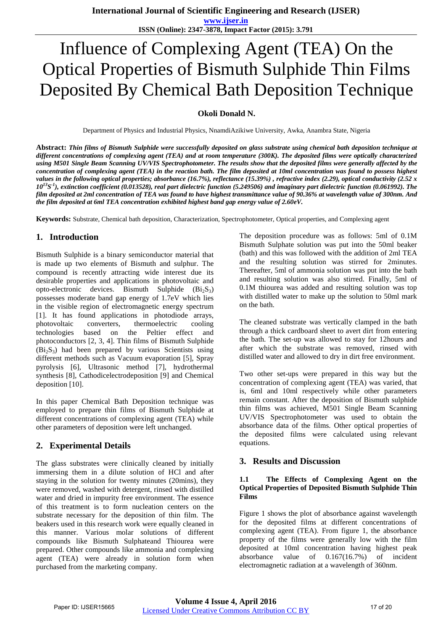# Influence of Complexing Agent (TEA) On the Optical Properties of Bismuth Sulphide Thin Films Deposited By Chemical Bath Deposition Technique

#### **Okoli Donald N.**

Department of Physics and Industrial Physics, NnamdiAzikiwe University, Awka, Anambra State, Nigeria

**Abstract:** *Thin films of Bismuth Sulphide were successfully deposited on glass substrate using chemical bath deposition technique at different concentrations of complexing agent (TEA) and at room temperature (300K). The deposited films were optically characterized using M501 Single Beam Scanning UV/VIS Spectrophotometer. The results show that the deposited films were generally affected by the concentration of complexing agent (TEA) in the reaction bath. The film deposited at 10ml concentration was found to possess highest values in the following optical properties; absorbance (16.7%), reflectance (15.39%) , refractive index (2.29), optical conductivity (2.52 x*   $10^{13}S^{-1}$ ), extinction coefficient (0.013528), real part dielectric function (5.249506) and imaginary part dielectric function (0.061992). The *film deposited at 2ml concentration of TEA was found to have highest transmittance value of 90.36% at wavelength value of 300nm. And the film deposited at 6ml TEA concentration exhibited highest band gap energy value of 2.60eV.*

**Keywords:** Substrate, Chemical bath deposition, Characterization, Spectrophotometer, Optical properties, and Complexing agent

## **1. Introduction**

Bismuth Sulphide is a binary semiconductor material that is made up two elements of Bismuth and sulphur. The compound is recently attracting wide interest due its desirable properties and applications in photovoltaic and opto-electronic devices. Bismuth Sulphide  $(Bi<sub>2</sub>S<sub>3</sub>)$ possesses moderate band gap energy of 1.7eV which lies in the visible region of electromagnetic energy spectrum [1]. It has found applications in photodiode arrays, photovoltaic converters, thermoelectric cooling technologies based on the Peltier effect and photoconductors [2, 3, 4]. Thin films of Bismuth Sulphide  $(Bi<sub>2</sub>S<sub>3</sub>)$  had been prepared by various Scientists using different methods such as Vacuum evaporation [5], Spray pyrolysis [6], Ultrasonic method [7], hydrothermal synthesis [8], Cathodicelectrodeposition [9] and Chemical deposition [10].

In this paper Chemical Bath Deposition technique was employed to prepare thin films of Bismuth Sulphide at different concentrations of complexing agent (TEA) while other parameters of deposition were left unchanged.

## **2. Experimental Details**

The glass substrates were clinically cleaned by initially immersing them in a dilute solution of HCl and after staying in the solution for twenty minutes (20mins), they were removed, washed with detergent, rinsed with distilled water and dried in impurity free environment. The essence of this treatment is to form nucleation centers on the substrate necessary for the deposition of thin film. The beakers used in this research work were equally cleaned in this manner. Various molar solutions of different compounds like Bismuth Sulphateand Thiourea were prepared. Other compounds like ammonia and complexing agent (TEA) were already in solution form when purchased from the marketing company.

The deposition procedure was as follows: 5ml of 0.1M Bismuth Sulphate solution was put into the 50ml beaker (bath) and this was followed with the addition of 2ml TEA and the resulting solution was stirred for 2minutes. Thereafter, 5ml of ammonia solution was put into the bath and resulting solution was also stirred. Finally, 5ml of 0.1M thiourea was added and resulting solution was top with distilled water to make up the solution to 50ml mark on the bath.

The cleaned substrate was vertically clamped in the bath through a thick cardboard sheet to avert dirt from entering the bath. The set-up was allowed to stay for 12hours and after which the substrate was removed, rinsed with distilled water and allowed to dry in dirt free environment.

Two other set-ups were prepared in this way but the concentration of complexing agent (TEA) was varied, that is, 6ml and 10ml respectively while other parameters remain constant. After the deposition of Bismuth sulphide thin films was achieved, M501 Single Beam Scanning UV/VIS Spectrophotometer was used to obtain the absorbance data of the films. Other optical properties of the deposited films were calculated using relevant equations.

#### **3. Results and Discussion**

#### **1.1 The Effects of Complexing Agent on the Optical Properties of Deposited Bismuth Sulphide Thin Films**

Figure 1 shows the plot of absorbance against wavelength for the deposited films at different concentrations of complexing agent (TEA). From figure 1, the absorbance property of the films were generally low with the film deposited at 10ml concentration having highest peak absorbance value of 0.167(16.7%) of incident electromagnetic radiation at a wavelength of 360nm.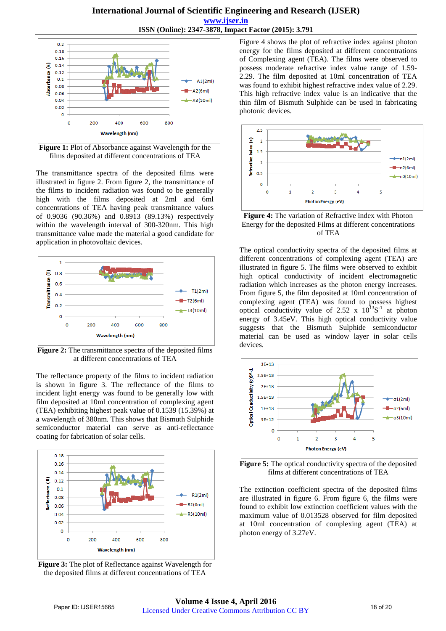#### **International Journal of Scientific Engineering and Research (IJSER) www.ijser.in ISSN (Online): 2347-3878, Impact Factor (2015): 3.791**



**Figure 1:** Plot of Absorbance against Wavelength for the films deposited at different concentrations of TEA

The transmittance spectra of the deposited films were illustrated in figure 2. From figure 2, the transmittance of the films to incident radiation was found to be generally high with the films deposited at 2ml and 6ml concentrations of TEA having peak transmittance values of 0.9036 (90.36%) and 0.8913 (89.13%) respectively within the wavelength interval of 300-320nm. This high transmittance value made the material a good candidate for application in photovoltaic devices.



**Figure 2:** The transmittance spectra of the deposited films at different concentrations of TEA

The reflectance property of the films to incident radiation is shown in figure 3. The reflectance of the films to incident light energy was found to be generally low with film deposited at 10ml concentration of complexing agent (TEA) exhibiting highest peak value of 0.1539 (15.39%) at a wavelength of 380nm. This shows that Bismuth Sulphide semiconductor material can serve as anti-reflectance coating for fabrication of solar cells.



**Figure 3:** The plot of Reflectance against Wavelength for the deposited films at different concentrations of TEA

Figure 4 shows the plot of refractive index against photon energy for the films deposited at different concentrations of Complexing agent (TEA). The films were observed to possess moderate refractive index value range of 1.59- 2.29. The film deposited at 10ml concentration of TEA was found to exhibit highest refractive index value of 2.29. This high refractive index value is an indicative that the thin film of Bismuth Sulphide can be used in fabricating photonic devices.



**Figure 4:** The variation of Refractive index with Photon Energy for the deposited Films at different concentrations of TEA

The optical conductivity spectra of the deposited films at different concentrations of complexing agent (TEA) are illustrated in figure 5. The films were observed to exhibit high optical conductivity of incident electromagnetic radiation which increases as the photon energy increases. From figure 5, the film deposited at 10ml concentration of complexing agent (TEA) was found to possess highest optical conductivity value of 2.52 x  $10^{13}S^{-1}$  at photon energy of 3.45eV. This high optical conductivity value suggests that the Bismuth Sulphide semiconductor material can be used as window layer in solar cells devices.



**Figure 5:** The optical conductivity spectra of the deposited films at different concentrations of TEA

The extinction coefficient spectra of the deposited films are illustrated in figure 6. From figure 6, the films were found to exhibit low extinction coefficient values with the maximum value of 0.013528 observed for film deposited at 10ml concentration of complexing agent (TEA) at photon energy of 3.27eV.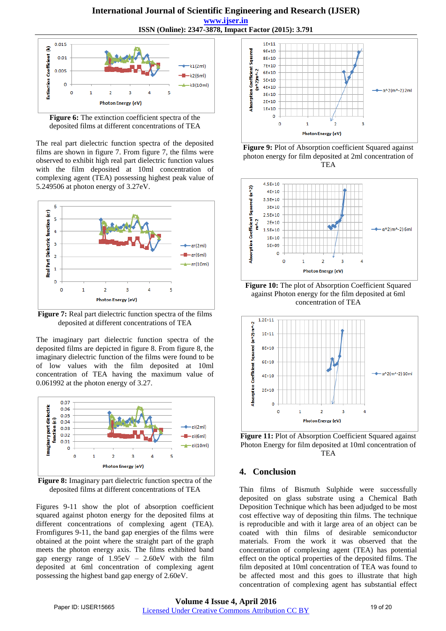

**Figure 6:** The extinction coefficient spectra of the deposited films at different concentrations of TEA

The real part dielectric function spectra of the deposited films are shown in figure 7. From figure 7, the films were observed to exhibit high real part dielectric function values with the film deposited at 10ml concentration of complexing agent (TEA) possessing highest peak value of 5.249506 at photon energy of 3.27eV.



**Figure 7:** Real part dielectric function spectra of the films deposited at different concentrations of TEA

The imaginary part dielectric function spectra of the deposited films are depicted in figure 8. From figure 8, the imaginary dielectric function of the films were found to be of low values with the film deposited at 10ml concentration of TEA having the maximum value of 0.061992 at the photon energy of 3.27.



**Figure 8:** Imaginary part dielectric function spectra of the deposited films at different concentrations of TEA

Figures 9-11 show the plot of absorption coefficient squared against photon energy for the deposited films at different concentrations of complexing agent (TEA). Fromfigures 9-11, the band gap energies of the films were obtained at the point where the straight part of the graph meets the photon energy axis. The films exhibited band gap energy range of  $1.95 \text{eV} - 2.60 \text{eV}$  with the film deposited at 6ml concentration of complexing agent possessing the highest band gap energy of 2.60eV.



**Figure 9:** Plot of Absorption coefficient Squared against photon energy for film deposited at 2ml concentration of TEA







**Figure 11:** Plot of Absorption Coefficient Squared against Photon Energy for film deposited at 10ml concentration of TEA

## **4. Conclusion**

Thin films of Bismuth Sulphide were successfully deposited on glass substrate using a Chemical Bath Deposition Technique which has been adjudged to be most cost effective way of depositing thin films. The technique is reproducible and with it large area of an object can be coated with thin films of desirable semiconductor materials. From the work it was observed that the concentration of complexing agent (TEA) has potential effect on the optical properties of the deposited films. The film deposited at 10ml concentration of TEA was found to be affected most and this goes to illustrate that high concentration of complexing agent has substantial effect